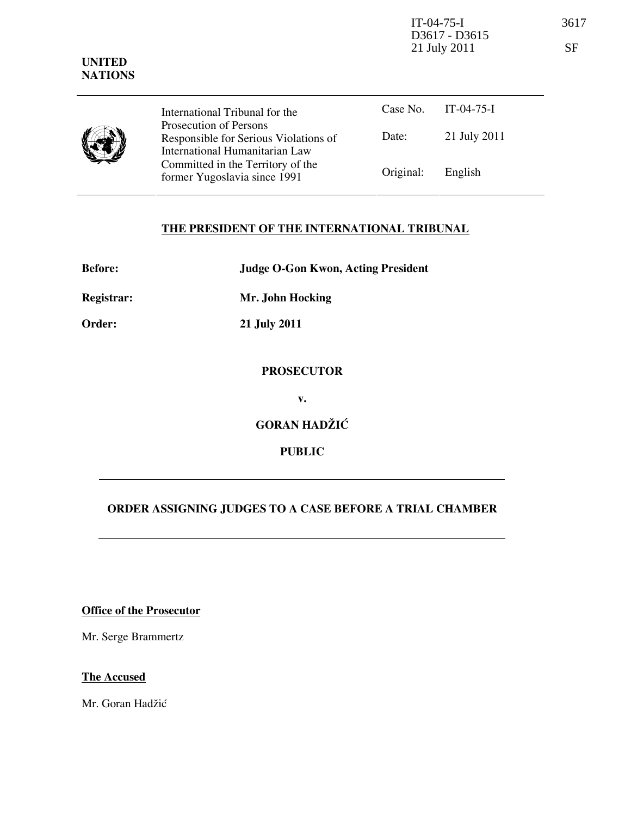| <b>UNITED</b><br><b>NATIONS</b> |                                                                                                                                                                        | D3617 - D3615<br>21 July 2011 |              | SF |
|---------------------------------|------------------------------------------------------------------------------------------------------------------------------------------------------------------------|-------------------------------|--------------|----|
|                                 | International Tribunal for the                                                                                                                                         | Case No.                      | $IT-04-75-I$ |    |
|                                 | Prosecution of Persons<br>Responsible for Serious Violations of<br>International Humanitarian Law<br>Committed in the Territory of the<br>former Yugoslavia since 1991 | Date:                         | 21 July 2011 |    |
|                                 |                                                                                                                                                                        | Original:                     | English      |    |

## THE PRESIDENT OF THE INTERNATIONAL TRIBUNAL

| <b>Before:</b>    | <b>Judge O-Gon Kwon, Acting President</b>                      |  |
|-------------------|----------------------------------------------------------------|--|
| <b>Registrar:</b> | Mr. John Hocking                                               |  |
| Order:            | 21 July 2011                                                   |  |
|                   |                                                                |  |
|                   | <b>PROSECUTOR</b>                                              |  |
|                   | $V_{\bullet}$                                                  |  |
|                   | <b>GORAN HADŽIĆ</b>                                            |  |
|                   | <b>PUBLIC</b>                                                  |  |
|                   |                                                                |  |
|                   | <b>ORDER ASSIGNING JUDGES TO A CASE BEFORE A TRIAL CHAMBER</b> |  |

**Office of the Prosecutor** 

Mr. Serge Brammertz

The Accused

Mr. Goran Hadžić

IT-04-75-I 3617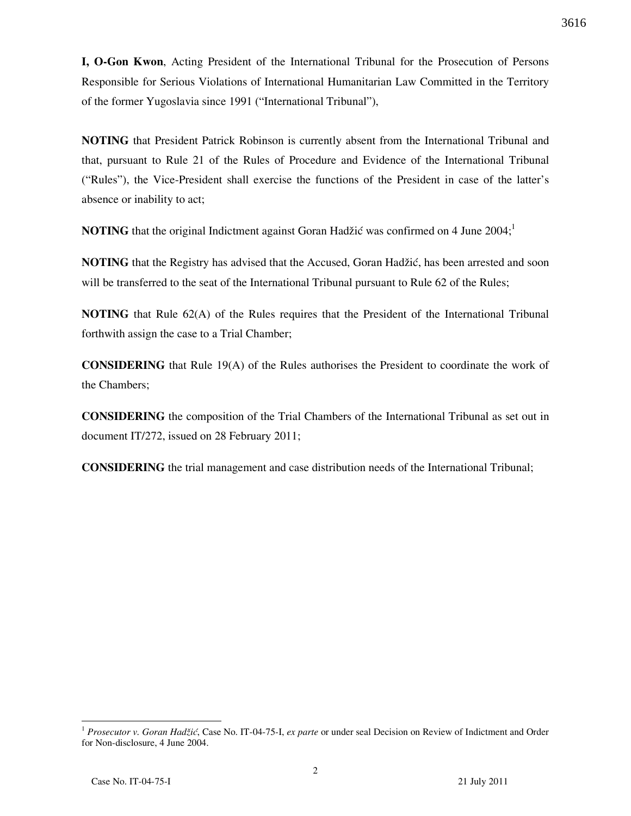I, O-Gon Kwon, Acting President of the International Tribunal for the Prosecution of Persons Responsible for Serious Violations of International Humanitarian Law Committed in the Territory of the former Yugoslavia since 1991 ("International Tribunal"),

NOTING that President Patrick Robinson is currently absent from the International Tribunal and that, pursuant to Rule 21 of the Rules of Procedure and Evidence of the International Tribunal ("Rules"), the Vice-President shall exercise the functions of the President in case of the latter's absence or inability to act;

NOTING that the original Indictment against Goran Hadžić was confirmed on 4 June 2004;<sup>1</sup>

NOTING that the Registry has advised that the Accused, Goran Hadžić, has been arrested and soon will be transferred to the seat of the International Tribunal pursuant to Rule 62 of the Rules;

NOTING that Rule 62(A) of the Rules requires that the President of the International Tribunal forthwith assign the case to a Trial Chamber;

CONSIDERING that Rule 19(A) of the Rules authorises the President to coordinate the work of the Chambers;

CONSIDERING the composition of the Trial Chambers of the International Tribunal as set out in document IT/272, issued on 28 February 2011;

CONSIDERING the trial management and case distribution needs of the International Tribunal;

<sup>&</sup>lt;sup>1</sup> Prosecutor v. Goran Hadžić, Case No. IT-04-75-I, ex parte or under seal Decision on Review of Indictment and Order for Non-disclosure, 4 June 2004.